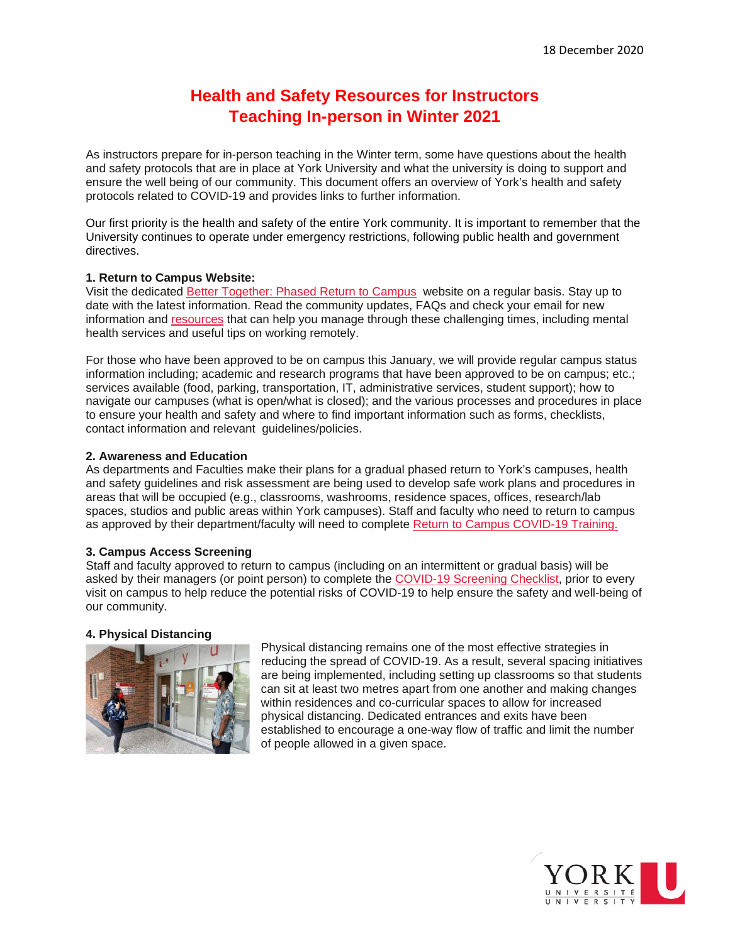# **Health and Safety Resources for Instructors Teaching In-person in Winter 2021**

As instructors prepare for in-person teaching in the Winter term, some have questions about the health and safety protocols that are in place at York University and what the university is doing to support and ensure the well being of our community. This document offers an overview of York's health and safety protocols related to COVID-19 and provides links to further information.

Our first priority is the health and safety of the entire York community. It is important to remember that the University continues to operate under emergency restrictions, following public health and government directives.

## **1. Return to Campus Website:**

Visit the dedicated [Better Together: Phased Return to Campus](https://yubettertogether.info.yorku.ca/2020/08/community-update-7-preparing-for-a-new-academic-year/) website on a regular basis. Stay up to date with the latest information. Read the community updates, FAQs and check your email for new information and [resources](https://yubettertogether.info.yorku.ca/important-links-resources/) that can help you manage through these challenging times, including mental health services and useful tips on working remotely.

For those who have been approved to be on campus this January, we will provide regular campus status information including; academic and research programs that have been approved to be on campus; etc.; services available (food, parking, transportation, IT, administrative services, student support); how to navigate our campuses (what is open/what is closed); and the various processes and procedures in place to ensure your health and safety and where to find important information such as forms, checklists, contact information and relevant guidelines/policies.

## **2. Awareness and Education**

As departments and Faculties make their plans for a gradual phased return to York's campuses, health and safety guidelines and risk assessment are being used to develop safe work plans and procedures in areas that will be occupied (e.g., classrooms, washrooms, residence spaces, offices, research/lab spaces, studios and public areas within York campuses). Staff and faculty who need to return to campus as approved by their department/faculty will need to complete [Return to Campus COVID-19 Training.](https://moodle.yorku.ca/moodle/enrol/index.php?id=182465)

#### **3. Campus Access Screening**

Staff and faculty approved to return to campus (including on an intermittent or gradual basis) will be asked by their managers (or point person) to complete the [COVID-19 Screening Checklist,](https://yubettertogether.info.yorku.ca/appendix-a/) prior to every visit on campus to help reduce the potential risks of COVID-19 to help ensure the safety and well-being of our community.

#### **4. Physical Distancing**



Physical distancing remains one of the most effective strategies in reducing the spread of COVID-19. As a result, several spacing initiatives are being implemented, including setting up classrooms so that students can sit at least two metres apart from one another and making changes within residences and co-curricular spaces to allow for increased physical distancing. Dedicated entrances and exits have been established to encourage a one-way flow of traffic and limit the number of people allowed in a given space.

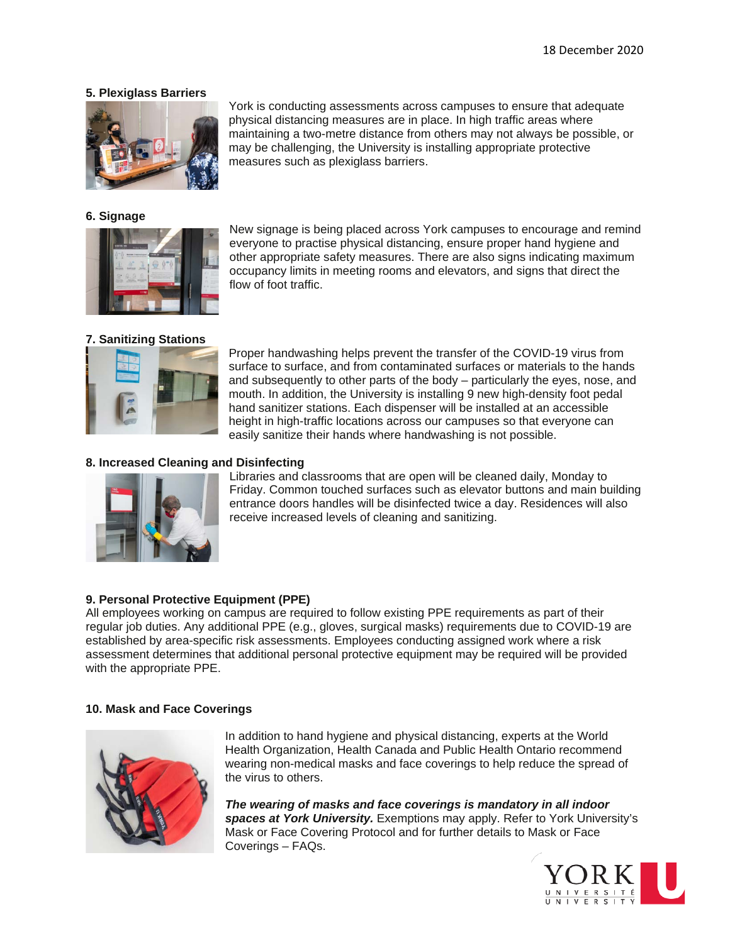## **5. Plexiglass Barriers**



## **6. Signage**



# **7. Sanitizing Stations**



everyone to practise physical distancing, ensure proper hand hygiene and other appropriate safety measures. There are also signs indicating maximum occupancy limits in meeting rooms and elevators, and signs that direct the flow of foot traffic.

New signage is being placed across York campuses to encourage and remind

York is conducting assessments across campuses to ensure that adequate physical distancing measures are in place. In high traffic areas where

maintaining a two-metre distance from others may not always be possible, or

may be challenging, the University is installing appropriate protective

measures such as plexiglass barriers.

Proper handwashing helps prevent the transfer of the COVID-19 virus from surface to surface, and from contaminated surfaces or materials to the hands and subsequently to other parts of the body – particularly the eyes, nose, and mouth. In addition, the University is installing 9 new high-density foot pedal hand sanitizer stations. Each dispenser will be installed at an accessible height in high-traffic locations across our campuses so that everyone can easily sanitize their hands where handwashing is not possible.

## **8. Increased Cleaning and Disinfecting**



Libraries and classrooms that are open will be cleaned daily, Monday to Friday. Common touched surfaces such as elevator buttons and main building entrance doors handles will be disinfected twice a day. Residences will also receive increased levels of cleaning and sanitizing.

# **9. Personal Protective Equipment (PPE)**

All employees working on campus are required to follow existing PPE requirements as part of their regular job duties. Any additional PPE (e.g., gloves, surgical masks) requirements due to COVID-19 are established by area-specific risk assessments. Employees conducting assigned work where a risk assessment determines that additional personal protective equipment may be required will be provided with the appropriate PPE.

#### **10. Mask and Face Coverings**



In addition to hand hygiene and physical distancing, experts at the World Health Organization, Health Canada and Public Health Ontario recommend wearing non-medical masks and face coverings to help reduce the spread of the virus to others.

*The wearing of masks and face coverings is mandatory in all indoor spaces at York University.* Exemptions may apply. Refer to York University's Mask or Face Covering Protocol and for further details to Mask or Face Coverings – FAQs.

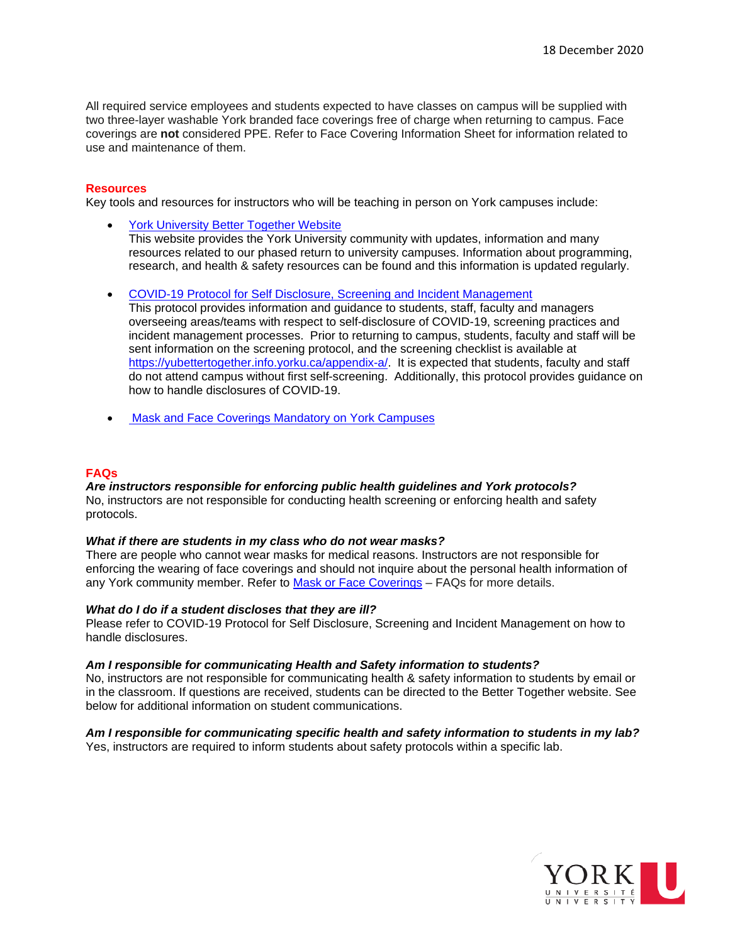All required service employees and students expected to have classes on campus will be supplied with two three-layer washable York branded face coverings free of charge when returning to campus. Face coverings are **not** considered PPE. Refer to Face Covering Information Sheet for information related to use and maintenance of them.

#### **Resources**

Key tools and resources for instructors who will be teaching in person on York campuses include:

- [York University Better Together Website](https://yubettertogether.info.yorku.ca/2020/07/community-update-3-york-makes-the-wearing-of-non-medical-mouth-and-nose-coverings-mandatory-on-campus/) This website provides the York University community with updates, information and many resources related to our phased return to university campuses. Information about programming, research, and health & safety resources can be found and this information is updated regularly.
- [COVID-19 Protocol for Self Disclosure, Screening and Incident Management](https://yulink-new.yorku.ca/documents/20182/12787045/COVID-19+Self+disclosure+screening+and+incident+mgmt/1962346f-adf9-4f35-b6d8-b27a91f8d98a)

This protocol provides information and guidance to students, staff, faculty and managers overseeing areas/teams with respect to self-disclosure of COVID-19, screening practices and incident management processes. Prior to returning to campus, students, faculty and staff will be sent information on the screening protocol, and the screening checklist is available at [https://yubettertogether.info.yorku.ca/appendix-a/.](https://yubettertogether.info.yorku.ca/appendix-a/) It is expected that students, faculty and staff do not attend campus without first self-screening. Additionally, this protocol provides guidance on how to handle disclosures of COVID-19.

**[Mask and Face Coverings Mandatory on York Campuses](https://yubettertogether.info.yorku.ca/2020/10/community-update-16-please-wear-your-mask-or-face-covering/)** 

#### **FAQs**

#### *Are instructors responsible for enforcing public health guidelines and York protocols?*  No, instructors are not responsible for conducting health screening or enforcing health and safety protocols.

#### *What if there are students in my class who do not wear masks?*

There are people who cannot wear masks for medical reasons. Instructors are not responsible for enforcing the wearing of face coverings and should not inquire about the personal health information of any York community member. Refer to Mask [or Face Coverings](https://yubettertogether.info.yorku.ca/files/2020/10/Mask-Face-Coverings-FAQs-English.pdf?x43332) - FAQs for more details.

#### *What do I do if a student discloses that they are ill?*

Please refer to COVID-19 Protocol for Self Disclosure, Screening and Incident Management on how to handle disclosures.

#### *Am I responsible for communicating Health and Safety information to students?*

No, instructors are not responsible for communicating health & safety information to students by email or in the classroom. If questions are received, students can be directed to the Better Together website. See below for additional information on student communications.

# *Am I responsible for communicating specific health and safety information to students in my lab?*

Yes, instructors are required to inform students about safety protocols within a specific lab.